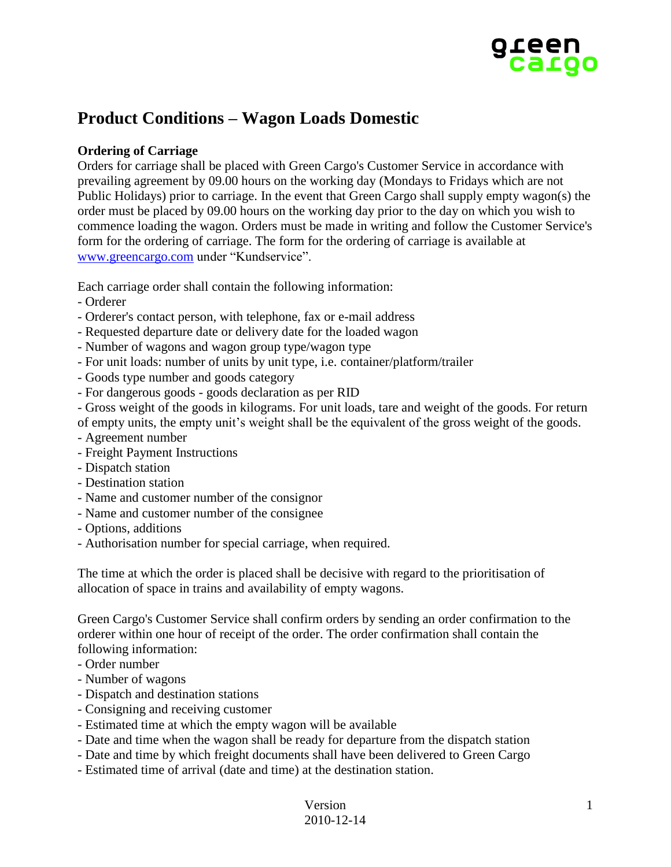

# **Product Conditions – Wagon Loads Domestic**

## **Ordering of Carriage**

Orders for carriage shall be placed with Green Cargo's Customer Service in accordance with prevailing agreement by 09.00 hours on the working day (Mondays to Fridays which are not Public Holidays) prior to carriage. In the event that Green Cargo shall supply empty wagon(s) the order must be placed by 09.00 hours on the working day prior to the day on which you wish to commence loading the wagon. Orders must be made in writing and follow the Customer Service's form for the ordering of carriage. The form for the ordering of carriage is available at [www.greencargo.com](http://www.greencargo.com/) under "Kundservice".

Each carriage order shall contain the following information:

- Orderer
- Orderer's contact person, with telephone, fax or e-mail address
- Requested departure date or delivery date for the loaded wagon
- Number of wagons and wagon group type/wagon type
- For unit loads: number of units by unit type, i.e. container/platform/trailer
- Goods type number and goods category
- For dangerous goods goods declaration as per RID
- Gross weight of the goods in kilograms. For unit loads, tare and weight of the goods. For return
- of empty units, the empty unit's weight shall be the equivalent of the gross weight of the goods.
- Agreement number
- Freight Payment Instructions
- Dispatch station
- Destination station
- Name and customer number of the consignor
- Name and customer number of the consignee
- Options, additions
- Authorisation number for special carriage, when required.

The time at which the order is placed shall be decisive with regard to the prioritisation of allocation of space in trains and availability of empty wagons.

Green Cargo's Customer Service shall confirm orders by sending an order confirmation to the orderer within one hour of receipt of the order. The order confirmation shall contain the following information:

- Order number
- Number of wagons
- Dispatch and destination stations
- Consigning and receiving customer
- Estimated time at which the empty wagon will be available
- Date and time when the wagon shall be ready for departure from the dispatch station
- Date and time by which freight documents shall have been delivered to Green Cargo
- Estimated time of arrival (date and time) at the destination station.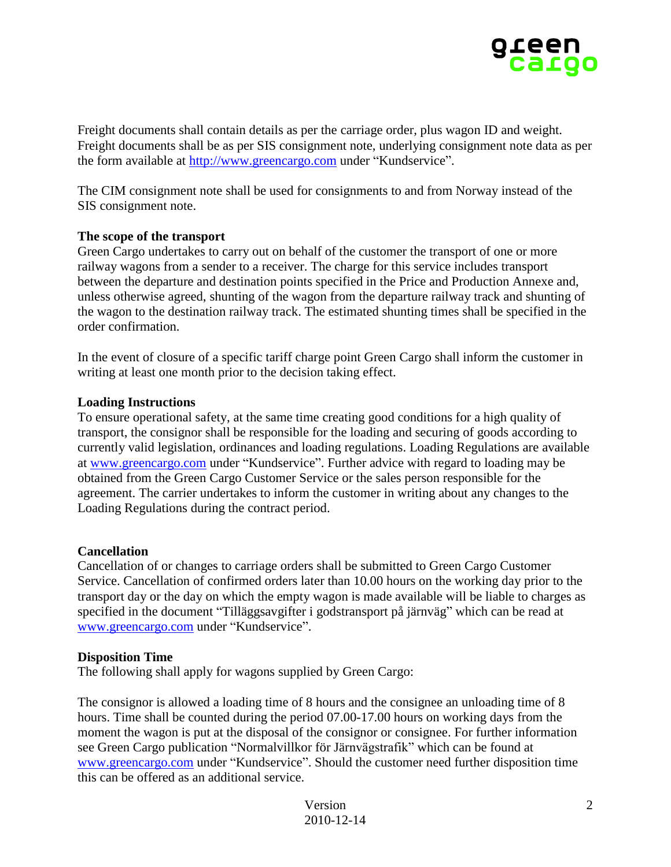

Freight documents shall contain details as per the carriage order, plus wagon ID and weight. Freight documents shall be as per SIS consignment note, underlying consignment note data as per the form available at [http://www.greencargo.com](http://www.greencargo.com/) under "Kundservice".

The CIM consignment note shall be used for consignments to and from Norway instead of the SIS consignment note.

## **The scope of the transport**

Green Cargo undertakes to carry out on behalf of the customer the transport of one or more railway wagons from a sender to a receiver. The charge for this service includes transport between the departure and destination points specified in the Price and Production Annexe and, unless otherwise agreed, shunting of the wagon from the departure railway track and shunting of the wagon to the destination railway track. The estimated shunting times shall be specified in the order confirmation.

In the event of closure of a specific tariff charge point Green Cargo shall inform the customer in writing at least one month prior to the decision taking effect.

## **Loading Instructions**

To ensure operational safety, at the same time creating good conditions for a high quality of transport, the consignor shall be responsible for the loading and securing of goods according to currently valid legislation, ordinances and loading regulations. Loading Regulations are available at [www.greencargo.com](http://www.greencargo.com/) under "Kundservice". Further advice with regard to loading may be obtained from the Green Cargo Customer Service or the sales person responsible for the agreement. The carrier undertakes to inform the customer in writing about any changes to the Loading Regulations during the contract period.

#### **Cancellation**

Cancellation of or changes to carriage orders shall be submitted to Green Cargo Customer Service. Cancellation of confirmed orders later than 10.00 hours on the working day prior to the transport day or the day on which the empty wagon is made available will be liable to charges as specified in the document "Tilläggsavgifter i godstransport på järnväg" which can be read at [www.greencargo.com](http://www.greencargo.com/) under "Kundservice".

#### **Disposition Time**

The following shall apply for wagons supplied by Green Cargo:

The consignor is allowed a loading time of 8 hours and the consignee an unloading time of 8 hours. Time shall be counted during the period 07.00-17.00 hours on working days from the moment the wagon is put at the disposal of the consignor or consignee. For further information see Green Cargo publication "Normalvillkor för Järnvägstrafik" which can be found at [www.greencargo.com](http://www.greencargo.com/) under "Kundservice". Should the customer need further disposition time this can be offered as an additional service.